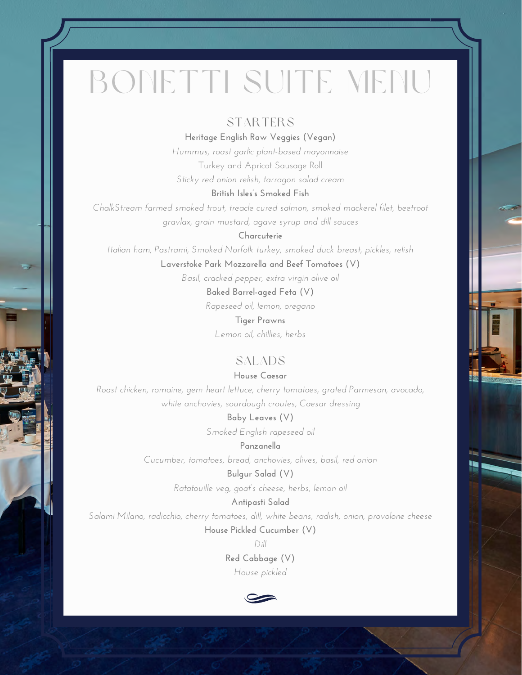# BONETTI SUITE MENU

# **STARTERS**

**Heritage English Raw Veggies (Vegan)**

*Hummus, roast garlic plant-based mayonnaise* Turkey and Apricot Sausage Roll *Sticky red onion relish, tarragon salad cream*

#### **British Isles's Smoked Fish**

*ChalkStream farmed smoked trout, treacle cured salmon, smoked mackerel filet, beetroot gravlax, grain mustard, agave syrup and dill sauces*

**Charcuterie**

*Italian ham, Pastrami, Smoked Norfolk turkey, smoked duck breast, pickles, relish*

**Laverstoke Park Mozzarella and Beef Tomatoes (V)**

*Basil, cracked pepper, extra virgin olive oil*

**Baked Barrel-aged Feta (V)**

*Rapeseed oil, lemon, oregano*

**Tiger Prawns** *Lemon oil, chillies, herbs*

# SALADS

**House Caesar**

*Roast chicken, romaine, gem heart lettuce, cherry tomatoes, grated Parmesan, avocado, white anchovies, sourdough croutes, Caesar dressing*

**Baby Leaves (V)**

*Smoked English rapeseed oil*

**Panzanella**

*Cucumber, tomatoes, bread, anchovies, olives, basil, red onion*

### **Bulgur Salad (V)**

*Ratatouille veg, goat's cheese, herbs, lemon oil*

## **Antipasti Salad**

*Salami Milano, radicchio, cherry tomatoes, dill, white beans, radish, onion, provolone cheese*

**House Pickled Cucumber (V)**

*Dill*

**Red Cabbage (V)** *House pickled*

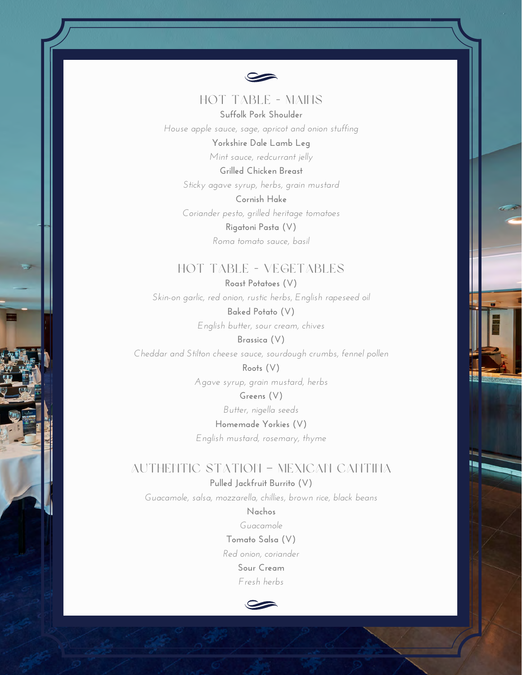

## HOT TABLE - MAINS **Suffolk Pork Shoulder**

*House apple sauce, sage, apricot and onion stuffing* **Yorkshire Dale Lamb Leg**

*Mint sauce, redcurrant jelly*

**Grilled Chicken Breast** *Sticky agave syrup, herbs, grain mustard*

**Cornish Hake** *Coriander pesto, grilled heritage tomatoes* **Rigatoni Pasta (V)** *Roma tomato sauce, basil*

# HOT TABLE - VEGETABLES

**Roast Potatoes (V)** *Skin-on garlic, red onion, rustic herbs, English rapeseed oil* **Baked Potato (V)**

*English butter, sour cream, chives*

**Brassica (V)** *Cheddar and Stilton cheese sauce, sourdough crumbs, fennel pollen* **Roots (V)**

*Agave syrup, grain mustard, herbs*

**Greens (V)** *Butter, nigella seeds* **Homemade Yorkies (V)** *English mustard, rosemary, thyme*

# AUTHENTIC STATION – MEXICAN CANTINA

**Pulled Jackfruit Burrito (V)**

*Guacamole, salsa, mozzarella, chillies, brown rice, black beans*

**Nachos** *Guacamole* **Tomato Salsa (V)** *Red onion, coriander* **Sour Cream** *Fresh herbs*

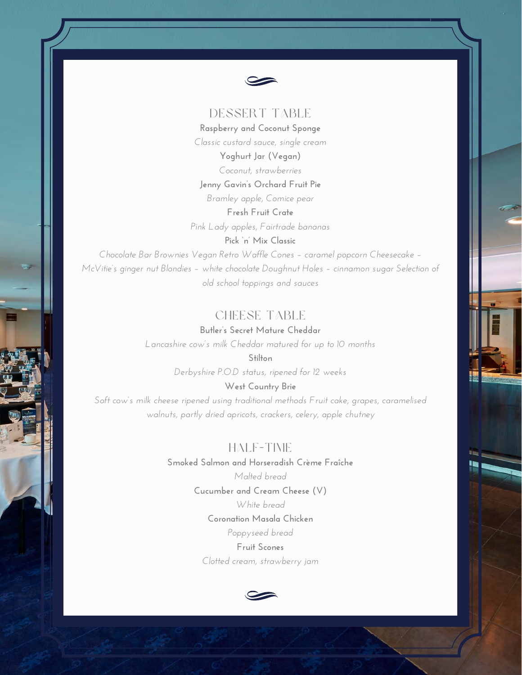

# DESSERT TABLE

**Raspberry and Coconut Sponge** *Classic custard sauce, single cream*

> **Yoghurt Jar (Vegan)** *Coconut, strawberries*

#### **Jenny Gavin's Orchard Fruit Pie**

*Bramley apple, Comice pear*

**Fresh Fruit Crate** *Pink Lady apples, Fairtrade bananas*

**Pick 'n' Mix Classic**

*Chocolate Bar Brownies Vegan Retro Waffle Cones – caramel popcorn Cheesecake – McVitie's ginger nut Blondies – white chocolate Doughnut Holes – cinnamon sugar Selection of old school toppings and sauces*

# CHEESE TABLE

**Butler's Secret Mature Cheddar** *Lancashire cow's milk Cheddar matured for up to 10 months*

**Stilton**

*Derbyshire P.O.D status, ripened for 12 weeks*

**West Country Brie**

*Soft cow's milk cheese ripened using traditional methods Fruit cake, grapes, caramelised walnuts, partly dried apricots, crackers, celery, apple chutney*

## HALF-TIME

**Smoked Salmon and Horseradish Crème Fraîche** *Malted bread* **Cucumber and Cream Cheese (V)** *White bread* **Coronation Masala Chicken** *Poppyseed bread* **Fruit Scones** *Clotted cream, strawberry jam*